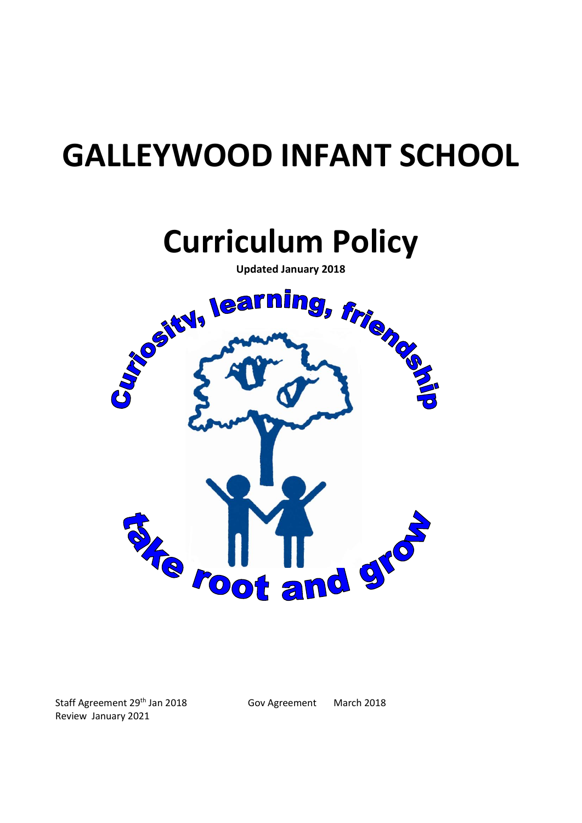# **GALLEYWOOD INFANT SCHOOL**



Staff Agreement 29th Jan 2018 Gov Agreement March 2018 Review January 2021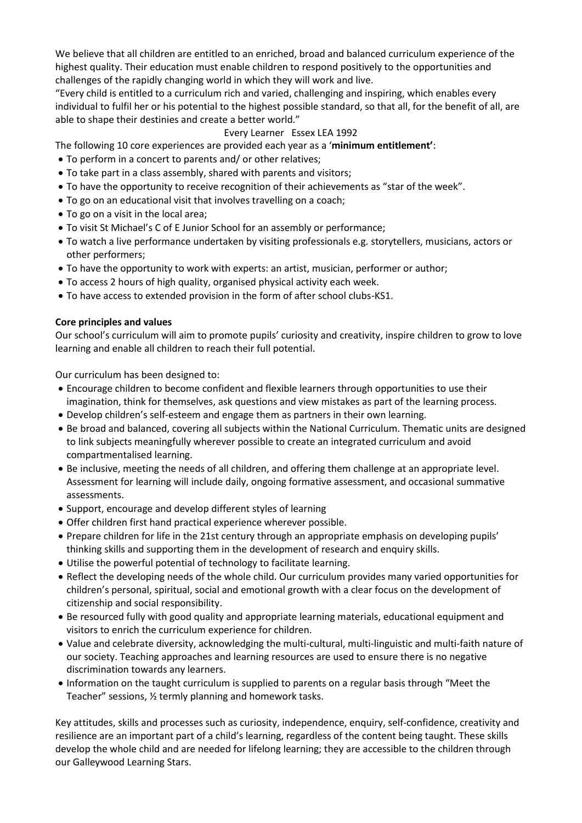We believe that all children are entitled to an enriched, broad and balanced curriculum experience of the highest quality. Their education must enable children to respond positively to the opportunities and challenges of the rapidly changing world in which they will work and live.

"Every child is entitled to a curriculum rich and varied, challenging and inspiring, which enables every individual to fulfil her or his potential to the highest possible standard, so that all, for the benefit of all, are able to shape their destinies and create a better world."

## Every Learner Essex LEA 1992

The following 10 core experiences are provided each year as a '**minimum entitlement'**:

- To perform in a concert to parents and/ or other relatives;
- To take part in a class assembly, shared with parents and visitors;
- To have the opportunity to receive recognition of their achievements as "star of the week".
- To go on an educational visit that involves travelling on a coach;
- To go on a visit in the local area;
- To visit St Michael's C of E Junior School for an assembly or performance;
- To watch a live performance undertaken by visiting professionals e.g. storytellers, musicians, actors or other performers;
- To have the opportunity to work with experts: an artist, musician, performer or author;
- To access 2 hours of high quality, organised physical activity each week.
- To have access to extended provision in the form of after school clubs-KS1.

#### **Core principles and values**

Our school's curriculum will aim to promote pupils' curiosity and creativity, inspire children to grow to love learning and enable all children to reach their full potential.

Our curriculum has been designed to:

- Encourage children to become confident and flexible learners through opportunities to use their imagination, think for themselves, ask questions and view mistakes as part of the learning process.
- Develop children's self-esteem and engage them as partners in their own learning.
- Be broad and balanced, covering all subjects within the National Curriculum. Thematic units are designed to link subjects meaningfully wherever possible to create an integrated curriculum and avoid compartmentalised learning.
- Be inclusive, meeting the needs of all children, and offering them challenge at an appropriate level. Assessment for learning will include daily, ongoing formative assessment, and occasional summative assessments.
- Support, encourage and develop different styles of learning
- Offer children first hand practical experience wherever possible.
- Prepare children for life in the 21st century through an appropriate emphasis on developing pupils' thinking skills and supporting them in the development of research and enquiry skills.
- Utilise the powerful potential of technology to facilitate learning.
- Reflect the developing needs of the whole child. Our curriculum provides many varied opportunities for children's personal, spiritual, social and emotional growth with a clear focus on the development of citizenship and social responsibility.
- Be resourced fully with good quality and appropriate learning materials, educational equipment and visitors to enrich the curriculum experience for children.
- Value and celebrate diversity, acknowledging the multi-cultural, multi-linguistic and multi-faith nature of our society. Teaching approaches and learning resources are used to ensure there is no negative discrimination towards any learners.
- Information on the taught curriculum is supplied to parents on a regular basis through "Meet the Teacher" sessions, ½ termly planning and homework tasks.

Key attitudes, skills and processes such as curiosity, independence, enquiry, self-confidence, creativity and resilience are an important part of a child's learning, regardless of the content being taught. These skills develop the whole child and are needed for lifelong learning; they are accessible to the children through our Galleywood Learning Stars.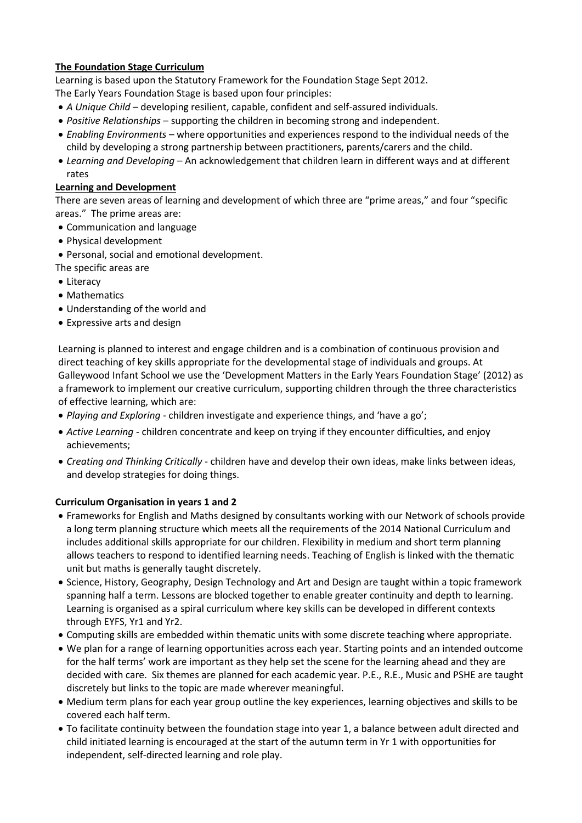# **The Foundation Stage Curriculum**

Learning is based upon the Statutory Framework for the Foundation Stage Sept 2012. The Early Years Foundation Stage is based upon four principles:

- *A Unique Child* developing resilient, capable, confident and self-assured individuals.
- *Positive Relationships* supporting the children in becoming strong and independent.
- *Enabling Environments* where opportunities and experiences respond to the individual needs of the child by developing a strong partnership between practitioners, parents/carers and the child.
- *Learning and Developing* An acknowledgement that children learn in different ways and at different rates

### **Learning and Development**

There are seven areas of learning and development of which three are "prime areas," and four "specific areas." The prime areas are:

- Communication and language
- Physical development
- Personal, social and emotional development.
- The specific areas are
- Literacy
- Mathematics
- Understanding of the world and
- Expressive arts and design

Learning is planned to interest and engage children and is a combination of continuous provision and direct teaching of key skills appropriate for the developmental stage of individuals and groups. At Galleywood Infant School we use the 'Development Matters in the Early Years Foundation Stage' (2012) as a framework to implement our creative curriculum, supporting children through the three characteristics of effective learning, which are:

- *Playing and Exploring* children investigate and experience things, and 'have a go';
- *Active Learning*  children concentrate and keep on trying if they encounter difficulties, and enjoy achievements;
- *Creating and Thinking Critically* children have and develop their own ideas, make links between ideas, and develop strategies for doing things.

## **Curriculum Organisation in years 1 and 2**

- Frameworks for English and Maths designed by consultants working with our Network of schools provide a long term planning structure which meets all the requirements of the 2014 National Curriculum and includes additional skills appropriate for our children. Flexibility in medium and short term planning allows teachers to respond to identified learning needs. Teaching of English is linked with the thematic unit but maths is generally taught discretely.
- Science, History, Geography, Design Technology and Art and Design are taught within a topic framework spanning half a term. Lessons are blocked together to enable greater continuity and depth to learning. Learning is organised as a spiral curriculum where key skills can be developed in different contexts through EYFS, Yr1 and Yr2.
- Computing skills are embedded within thematic units with some discrete teaching where appropriate.
- We plan for a range of learning opportunities across each year. Starting points and an intended outcome for the half terms' work are important as they help set the scene for the learning ahead and they are decided with care. Six themes are planned for each academic year. P.E., R.E., Music and PSHE are taught discretely but links to the topic are made wherever meaningful.
- Medium term plans for each year group outline the key experiences, learning objectives and skills to be covered each half term.
- To facilitate continuity between the foundation stage into year 1, a balance between adult directed and child initiated learning is encouraged at the start of the autumn term in Yr 1 with opportunities for independent, self-directed learning and role play.